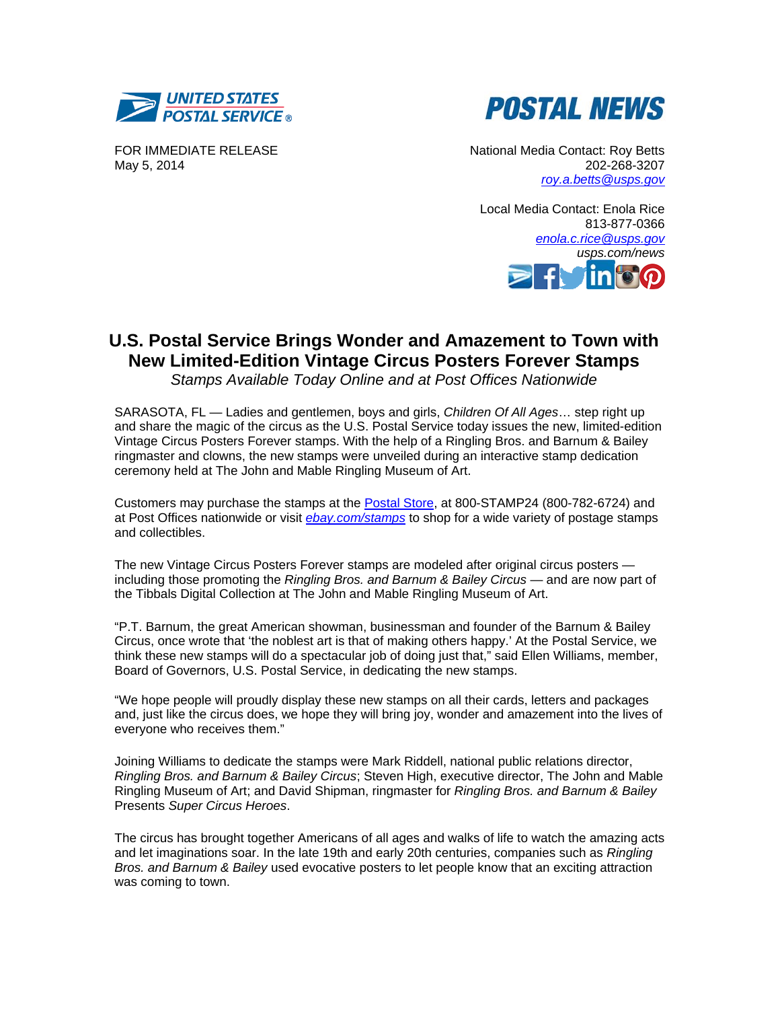



FOR IMMEDIATE RELEASE May 5, 2014

 National Media Contact: Roy Betts 202-268-3207 *roy.a.betts@usps.gov*

Local Media Contact: Enola Rice 813-877-0366 *enola.c.rice@usps.gov usps.com/news* 

# **U.S. Postal Service Brings Wonder and Amazement to Town with New Limited-Edition Vintage Circus Posters Forever Stamps**

*Stamps Available Today Online and at Post Offices Nationwide* 

SARASOTA, FL — Ladies and gentlemen, boys and girls, *Children Of All Ages*… step right up and share the magic of the circus as the U.S. Postal Service today issues the new, limited-edition Vintage Circus Posters Forever stamps. With the help of a Ringling Bros. and Barnum & Bailey ringmaster and clowns, the new stamps were unveiled during an interactive stamp dedication ceremony held at The John and Mable Ringling Museum of Art.

Customers may purchase the stamps at the Postal Store, at 800-STAMP24 (800-782-6724) and at Post Offices nationwide or visit *ebay.com/stamps* to shop for a wide variety of postage stamps and collectibles.

The new Vintage Circus Posters Forever stamps are modeled after original circus posters including those promoting the *Ringling Bros. and Barnum & Bailey Circus* — and are now part of the Tibbals Digital Collection at The John and Mable Ringling Museum of Art.

"P.T. Barnum, the great American showman, businessman and founder of the Barnum & Bailey Circus, once wrote that 'the noblest art is that of making others happy.' At the Postal Service, we think these new stamps will do a spectacular job of doing just that," said Ellen Williams, member, Board of Governors, U.S. Postal Service, in dedicating the new stamps.

"We hope people will proudly display these new stamps on all their cards, letters and packages and, just like the circus does, we hope they will bring joy, wonder and amazement into the lives of everyone who receives them."

Joining Williams to dedicate the stamps were Mark Riddell, national public relations director, *Ringling Bros. and Barnum & Bailey Circus*; Steven High, executive director, The John and Mable Ringling Museum of Art; and David Shipman, ringmaster for *Ringling Bros. and Barnum & Bailey*  Presents *Super Circus Heroes*.

The circus has brought together Americans of all ages and walks of life to watch the amazing acts and let imaginations soar. In the late 19th and early 20th centuries, companies such as *Ringling Bros. and Barnum & Bailey* used evocative posters to let people know that an exciting attraction was coming to town.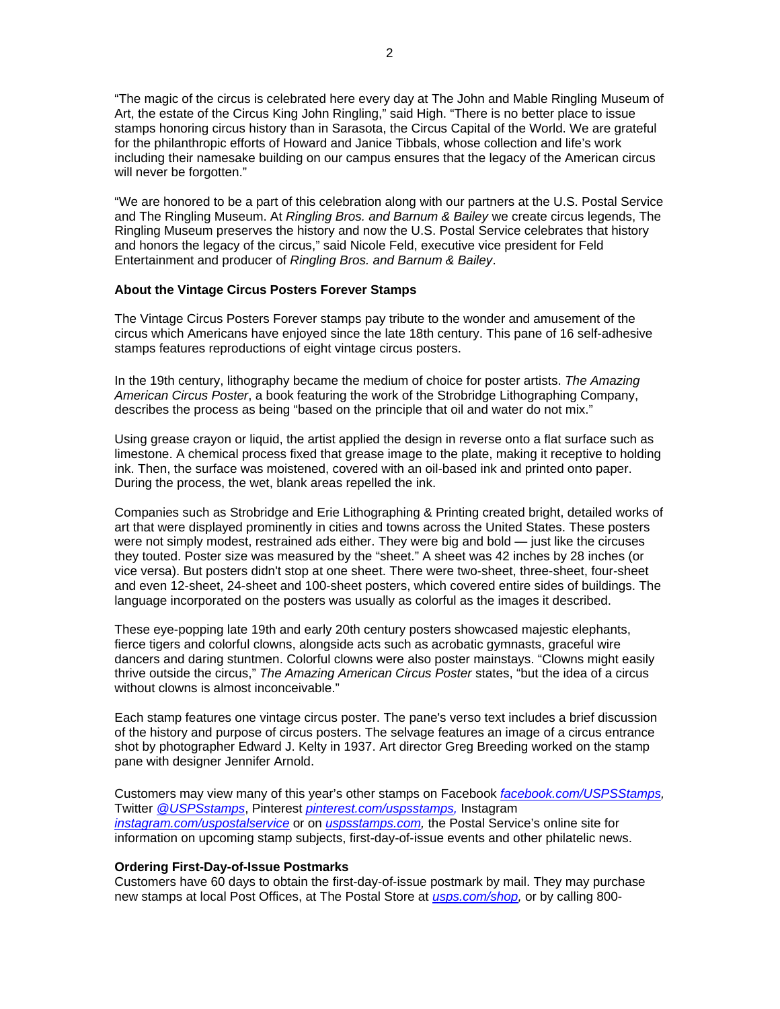"The magic of the circus is celebrated here every day at The John and Mable Ringling Museum of Art, the estate of the Circus King John Ringling," said High. "There is no better place to issue stamps honoring circus history than in Sarasota, the Circus Capital of the World. We are grateful for the philanthropic efforts of Howard and Janice Tibbals, whose collection and life's work including their namesake building on our campus ensures that the legacy of the American circus will never be forgotten."

"We are honored to be a part of this celebration along with our partners at the U.S. Postal Service and The Ringling Museum. At *Ringling Bros. and Barnum & Bailey* we create circus legends, The Ringling Museum preserves the history and now the U.S. Postal Service celebrates that history and honors the legacy of the circus," said Nicole Feld, executive vice president for Feld Entertainment and producer of *Ringling Bros. and Barnum & Bailey*.

## **About the Vintage Circus Posters Forever Stamps**

The Vintage Circus Posters Forever stamps pay tribute to the wonder and amusement of the circus which Americans have enjoyed since the late 18th century. This pane of 16 self-adhesive stamps features reproductions of eight vintage circus posters.

In the 19th century, lithography became the medium of choice for poster artists. *The Amazing American Circus Poster*, a book featuring the work of the Strobridge Lithographing Company, describes the process as being "based on the principle that oil and water do not mix."

Using grease crayon or liquid, the artist applied the design in reverse onto a flat surface such as limestone. A chemical process fixed that grease image to the plate, making it receptive to holding ink. Then, the surface was moistened, covered with an oil-based ink and printed onto paper. During the process, the wet, blank areas repelled the ink.

Companies such as Strobridge and Erie Lithographing & Printing created bright, detailed works of art that were displayed prominently in cities and towns across the United States. These posters were not simply modest, restrained ads either. They were big and bold — just like the circuses they touted. Poster size was measured by the "sheet." A sheet was 42 inches by 28 inches (or vice versa). But posters didn't stop at one sheet. There were two-sheet, three-sheet, four-sheet and even 12-sheet, 24-sheet and 100-sheet posters, which covered entire sides of buildings. The language incorporated on the posters was usually as colorful as the images it described.

These eye-popping late 19th and early 20th century posters showcased majestic elephants, fierce tigers and colorful clowns, alongside acts such as acrobatic gymnasts, graceful wire dancers and daring stuntmen. Colorful clowns were also poster mainstays. "Clowns might easily thrive outside the circus," *The Amazing American Circus Poster* states, "but the idea of a circus without clowns is almost inconceivable."

Each stamp features one vintage circus poster. The pane's verso text includes a brief discussion of the history and purpose of circus posters. The selvage features an image of a circus entrance shot by photographer Edward J. Kelty in 1937. Art director Greg Breeding worked on the stamp pane with designer Jennifer Arnold.

Customers may view many of this year's other stamps on Facebook *facebook.com/USPSStamps,* Twitter *@USPSstamps*, Pinterest *pinterest.com/uspsstamps,* Instagram *instagram.com/uspostalservice* or on *uspsstamps.com,* the Postal Service's online site for information on upcoming stamp subjects, first-day-of-issue events and other philatelic news.

#### **Ordering First-Day-of-Issue Postmarks**

Customers have 60 days to obtain the first-day-of-issue postmark by mail. They may purchase new stamps at local Post Offices, at The Postal Store at *usps.com/shop,* or by calling 800